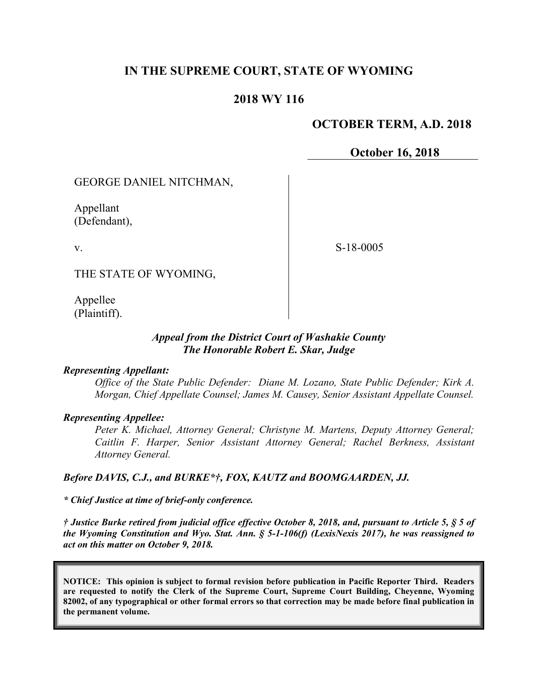# **IN THE SUPREME COURT, STATE OF WYOMING**

## **2018 WY 116**

## **OCTOBER TERM, A.D. 2018**

**October 16, 2018**

GEORGE DANIEL NITCHMAN,

Appellant (Defendant),

v.

S-18-0005

THE STATE OF WYOMING,

Appellee (Plaintiff).

### *Appeal from the District Court of Washakie County The Honorable Robert E. Skar, Judge*

#### *Representing Appellant:*

*Office of the State Public Defender: Diane M. Lozano, State Public Defender; Kirk A. Morgan, Chief Appellate Counsel; James M. Causey, Senior Assistant Appellate Counsel.*

#### *Representing Appellee:*

*Peter K. Michael, Attorney General; Christyne M. Martens, Deputy Attorney General; Caitlin F. Harper, Senior Assistant Attorney General; Rachel Berkness, Assistant Attorney General.*

#### *Before DAVIS, C.J., and BURKE\*†, FOX, KAUTZ and BOOMGAARDEN, JJ.*

*\* Chief Justice at time of brief-only conference.*

*† Justice Burke retired from judicial office effective October 8, 2018, and, pursuant to Article 5, § 5 of the Wyoming Constitution and Wyo. Stat. Ann. § 5-1-106(f) (LexisNexis 2017), he was reassigned to act on this matter on October 9, 2018.*

**NOTICE: This opinion is subject to formal revision before publication in Pacific Reporter Third. Readers are requested to notify the Clerk of the Supreme Court, Supreme Court Building, Cheyenne, Wyoming 82002, of any typographical or other formal errors so that correction may be made before final publication in the permanent volume.**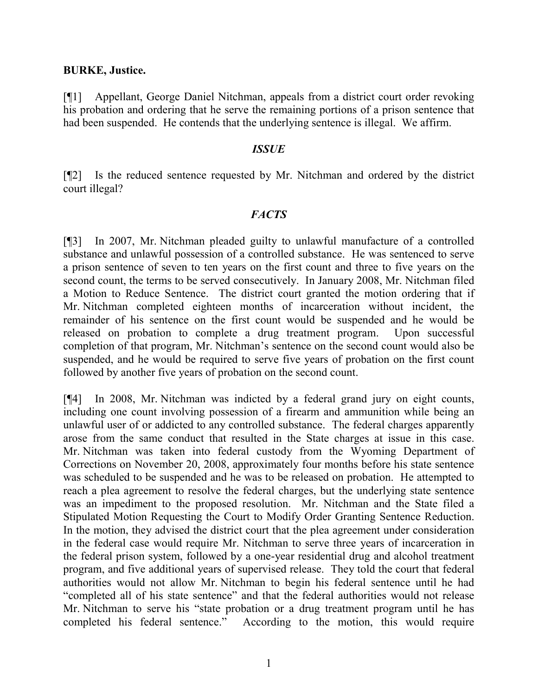### **BURKE, Justice.**

[¶1] Appellant, George Daniel Nitchman, appeals from a district court order revoking his probation and ordering that he serve the remaining portions of a prison sentence that had been suspended. He contends that the underlying sentence is illegal. We affirm.

### *ISSUE*

[¶2] Is the reduced sentence requested by Mr. Nitchman and ordered by the district court illegal?

## *FACTS*

[¶3] In 2007, Mr. Nitchman pleaded guilty to unlawful manufacture of a controlled substance and unlawful possession of a controlled substance. He was sentenced to serve a prison sentence of seven to ten years on the first count and three to five years on the second count, the terms to be served consecutively. In January 2008, Mr. Nitchman filed a Motion to Reduce Sentence. The district court granted the motion ordering that if Mr. Nitchman completed eighteen months of incarceration without incident, the remainder of his sentence on the first count would be suspended and he would be released on probation to complete a drug treatment program. Upon successful completion of that program, Mr. Nitchman's sentence on the second count would also be suspended, and he would be required to serve five years of probation on the first count followed by another five years of probation on the second count.

[¶4] In 2008, Mr. Nitchman was indicted by a federal grand jury on eight counts, including one count involving possession of a firearm and ammunition while being an unlawful user of or addicted to any controlled substance. The federal charges apparently arose from the same conduct that resulted in the State charges at issue in this case. Mr. Nitchman was taken into federal custody from the Wyoming Department of Corrections on November 20, 2008, approximately four months before his state sentence was scheduled to be suspended and he was to be released on probation. He attempted to reach a plea agreement to resolve the federal charges, but the underlying state sentence was an impediment to the proposed resolution. Mr. Nitchman and the State filed a Stipulated Motion Requesting the Court to Modify Order Granting Sentence Reduction. In the motion, they advised the district court that the plea agreement under consideration in the federal case would require Mr. Nitchman to serve three years of incarceration in the federal prison system, followed by a one-year residential drug and alcohol treatment program, and five additional years of supervised release. They told the court that federal authorities would not allow Mr. Nitchman to begin his federal sentence until he had "completed all of his state sentence" and that the federal authorities would not release Mr. Nitchman to serve his "state probation or a drug treatment program until he has completed his federal sentence." According to the motion, this would require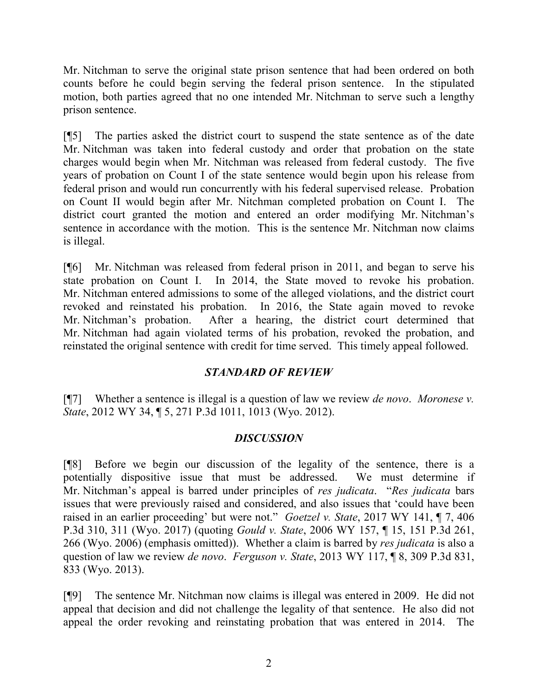Mr. Nitchman to serve the original state prison sentence that had been ordered on both counts before he could begin serving the federal prison sentence. In the stipulated motion, both parties agreed that no one intended Mr. Nitchman to serve such a lengthy prison sentence.

[¶5] The parties asked the district court to suspend the state sentence as of the date Mr. Nitchman was taken into federal custody and order that probation on the state charges would begin when Mr. Nitchman was released from federal custody. The five years of probation on Count I of the state sentence would begin upon his release from federal prison and would run concurrently with his federal supervised release. Probation on Count II would begin after Mr. Nitchman completed probation on Count I. The district court granted the motion and entered an order modifying Mr. Nitchman's sentence in accordance with the motion. This is the sentence Mr. Nitchman now claims is illegal.

[¶6] Mr. Nitchman was released from federal prison in 2011, and began to serve his state probation on Count I. In 2014, the State moved to revoke his probation. Mr. Nitchman entered admissions to some of the alleged violations, and the district court revoked and reinstated his probation. In 2016, the State again moved to revoke Mr. Nitchman's probation. After a hearing, the district court determined that Mr. Nitchman had again violated terms of his probation, revoked the probation, and reinstated the original sentence with credit for time served. This timely appeal followed.

# *STANDARD OF REVIEW*

[¶7] Whether a sentence is illegal is a question of law we review *de novo*. *Moronese v. State*, 2012 WY 34, ¶ 5, 271 P.3d 1011, 1013 (Wyo. 2012).

# *DISCUSSION*

[¶8] Before we begin our discussion of the legality of the sentence, there is a potentially dispositive issue that must be addressed. We must determine if Mr. Nitchman's appeal is barred under principles of *res judicata*."*Res judicata* bars issues that were previously raised and considered, and also issues that 'could have been raised in an earlier proceeding' but were not." *Goetzel v. State*, 2017 WY 141, ¶ 7, 406 P.3d 310, 311 (Wyo. 2017) (quoting *Gould v. State*, 2006 WY 157, ¶ 15, 151 P.3d 261, 266 (Wyo. 2006) (emphasis omitted)). Whether a claim is barred by *res judicata* is also a question of law we review *de novo*. *Ferguson v. State*, 2013 WY 117, ¶ 8, 309 P.3d 831, 833 (Wyo. 2013).

[¶9] The sentence Mr. Nitchman now claims is illegal was entered in 2009. He did not appeal that decision and did not challenge the legality of that sentence. He also did not appeal the order revoking and reinstating probation that was entered in 2014. The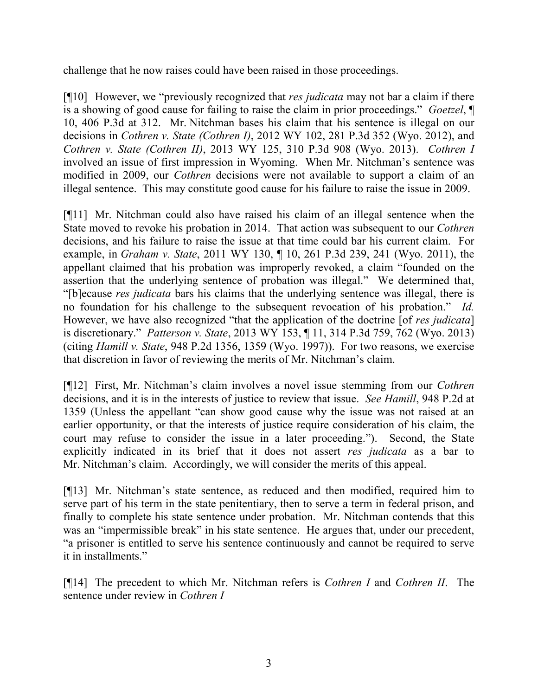challenge that he now raises could have been raised in those proceedings.

[¶10] However, we "previously recognized that *res judicata* may not bar a claim if there is a showing of good cause for failing to raise the claim in prior proceedings." *Goetzel*, ¶ 10, 406 P.3d at 312. Mr. Nitchman bases his claim that his sentence is illegal on our decisions in *Cothren v. State (Cothren I)*, 2012 WY 102, 281 P.3d 352 (Wyo. 2012), and *Cothren v. State (Cothren II)*, 2013 WY 125, 310 P.3d 908 (Wyo. 2013). *Cothren I* involved an issue of first impression in Wyoming. When Mr. Nitchman's sentence was modified in 2009, our *Cothren* decisions were not available to support a claim of an illegal sentence. This may constitute good cause for his failure to raise the issue in 2009.

[¶11] Mr. Nitchman could also have raised his claim of an illegal sentence when the State moved to revoke his probation in 2014. That action was subsequent to our *Cothren* decisions, and his failure to raise the issue at that time could bar his current claim. For example, in *Graham v. State*, 2011 WY 130, ¶ 10, 261 P.3d 239, 241 (Wyo. 2011), the appellant claimed that his probation was improperly revoked, a claim "founded on the assertion that the underlying sentence of probation was illegal." We determined that, "[b]ecause *res judicata* bars his claims that the underlying sentence was illegal, there is no foundation for his challenge to the subsequent revocation of his probation." *Id.* However, we have also recognized "that the application of the doctrine [of *res judicata*] is discretionary." *Patterson v. State*, 2013 WY 153, ¶ 11, 314 P.3d 759, 762 (Wyo. 2013) (citing *Hamill v. State*, 948 P.2d 1356, 1359 (Wyo. 1997)). For two reasons, we exercise that discretion in favor of reviewing the merits of Mr. Nitchman's claim.

[¶12] First, Mr. Nitchman's claim involves a novel issue stemming from our *Cothren* decisions, and it is in the interests of justice to review that issue. *See Hamill*, 948 P.2d at 1359 (Unless the appellant "can show good cause why the issue was not raised at an earlier opportunity, or that the interests of justice require consideration of his claim, the court may refuse to consider the issue in a later proceeding."). Second, the State explicitly indicated in its brief that it does not assert *res judicata* as a bar to Mr. Nitchman's claim. Accordingly, we will consider the merits of this appeal.

[¶13] Mr. Nitchman's state sentence, as reduced and then modified, required him to serve part of his term in the state penitentiary, then to serve a term in federal prison, and finally to complete his state sentence under probation. Mr. Nitchman contends that this was an "impermissible break" in his state sentence. He argues that, under our precedent, "a prisoner is entitled to serve his sentence continuously and cannot be required to serve it in installments."

[¶14] The precedent to which Mr. Nitchman refers is *Cothren I* and *Cothren II*. The sentence under review in *Cothren I*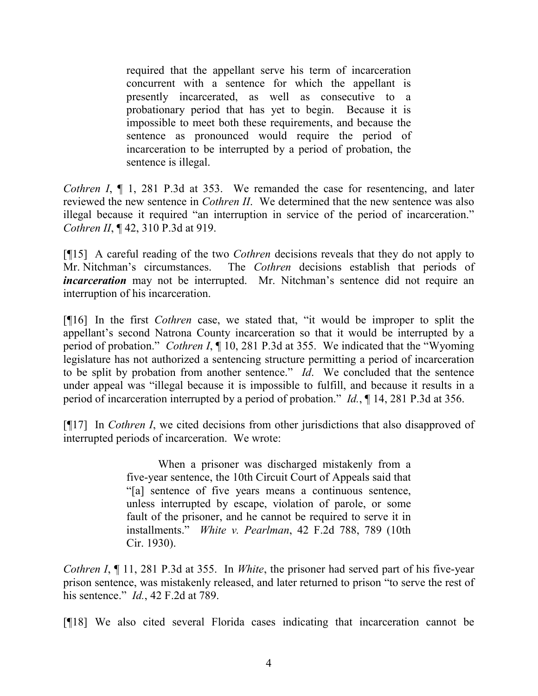required that the appellant serve his term of incarceration concurrent with a sentence for which the appellant is presently incarcerated, as well as consecutive to a probationary period that has yet to begin. Because it is impossible to meet both these requirements, and because the sentence as pronounced would require the period of incarceration to be interrupted by a period of probation, the sentence is illegal.

*Cothren I*,  $\P$  1, 281 P.3d at 353. We remanded the case for resentencing, and later reviewed the new sentence in *Cothren II*. We determined that the new sentence was also illegal because it required "an interruption in service of the period of incarceration." *Cothren II*, ¶ 42, 310 P.3d at 919.

[¶15] A careful reading of the two *Cothren* decisions reveals that they do not apply to Mr. Nitchman's circumstances. The *Cothren* decisions establish that periods of *incarceration* may not be interrupted. Mr. Nitchman's sentence did not require an interruption of his incarceration.

[¶16] In the first *Cothren* case, we stated that, "it would be improper to split the appellant's second Natrona County incarceration so that it would be interrupted by a period of probation." *Cothren I*, ¶ 10, 281 P.3d at 355. We indicated that the "Wyoming legislature has not authorized a sentencing structure permitting a period of incarceration to be split by probation from another sentence." *Id*. We concluded that the sentence under appeal was "illegal because it is impossible to fulfill, and because it results in a period of incarceration interrupted by a period of probation." *Id.*, ¶ 14, 281 P.3d at 356.

[¶17] In *Cothren I*, we cited decisions from other jurisdictions that also disapproved of interrupted periods of incarceration. We wrote:

> When a prisoner was discharged mistakenly from a five-year sentence, the 10th Circuit Court of Appeals said that "[a] sentence of five years means a continuous sentence, unless interrupted by escape, violation of parole, or some fault of the prisoner, and he cannot be required to serve it in installments." *White v. Pearlman*, 42 F.2d 788, 789 (10th Cir. 1930).

*Cothren I*, ¶ 11, 281 P.3d at 355. In *White*, the prisoner had served part of his five-year prison sentence, was mistakenly released, and later returned to prison "to serve the rest of his sentence." *Id.*, 42 F.2d at 789.

[¶18] We also cited several Florida cases indicating that incarceration cannot be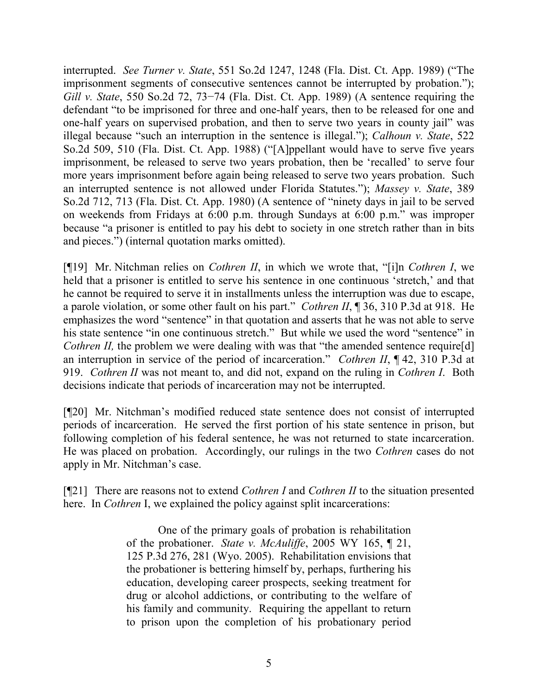interrupted. *See Turner v. State*, 551 So.2d 1247, 1248 (Fla. Dist. Ct. App. 1989) ("The imprisonment segments of consecutive sentences cannot be interrupted by probation."); *Gill v. State*, 550 So.2d 72, 73–74 (Fla. Dist. Ct. App. 1989) (A sentence requiring the defendant "to be imprisoned for three and one-half years, then to be released for one and one-half years on supervised probation, and then to serve two years in county jail" was illegal because "such an interruption in the sentence is illegal."); *Calhoun v. State*, 522 So.2d 509, 510 (Fla. Dist. Ct. App. 1988) ("[A]ppellant would have to serve five years imprisonment, be released to serve two years probation, then be 'recalled' to serve four more years imprisonment before again being released to serve two years probation. Such an interrupted sentence is not allowed under Florida Statutes."); *Massey v. State*, 389 So.2d 712, 713 (Fla. Dist. Ct. App. 1980) (A sentence of "ninety days in jail to be served on weekends from Fridays at 6:00 p.m. through Sundays at 6:00 p.m." was improper because "a prisoner is entitled to pay his debt to society in one stretch rather than in bits and pieces.") (internal quotation marks omitted).

[¶19] Mr. Nitchman relies on *Cothren II*, in which we wrote that, "[i]n *Cothren I*, we held that a prisoner is entitled to serve his sentence in one continuous 'stretch,' and that he cannot be required to serve it in installments unless the interruption was due to escape, a parole violation, or some other fault on his part." *Cothren II*, ¶ 36, 310 P.3d at 918. He emphasizes the word "sentence" in that quotation and asserts that he was not able to serve his state sentence "in one continuous stretch." But while we used the word "sentence" in *Cothren II,* the problem we were dealing with was that "the amended sentence require[d] an interruption in service of the period of incarceration." *Cothren II*, ¶ 42, 310 P.3d at 919. *Cothren II* was not meant to, and did not, expand on the ruling in *Cothren I*. Both decisions indicate that periods of incarceration may not be interrupted.

[¶20] Mr. Nitchman's modified reduced state sentence does not consist of interrupted periods of incarceration. He served the first portion of his state sentence in prison, but following completion of his federal sentence, he was not returned to state incarceration. He was placed on probation. Accordingly, our rulings in the two *Cothren* cases do not apply in Mr. Nitchman's case.

[¶21] There are reasons not to extend *Cothren I* and *Cothren II* to the situation presented here. In *Cothren* I, we explained the policy against split incarcerations:

> One of the primary goals of probation is rehabilitation of the probationer. *State v. McAuliffe*, 2005 WY 165, ¶ 21, 125 P.3d 276, 281 (Wyo. 2005). Rehabilitation envisions that the probationer is bettering himself by, perhaps, furthering his education, developing career prospects, seeking treatment for drug or alcohol addictions, or contributing to the welfare of his family and community. Requiring the appellant to return to prison upon the completion of his probationary period